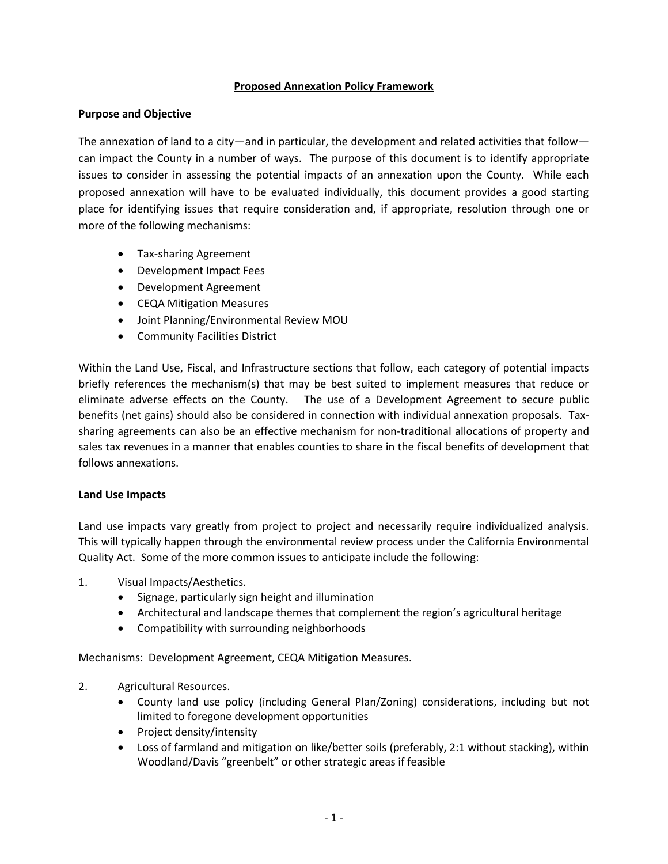# **Proposed Annexation Policy Framework**

# **Purpose and Objective**

The annexation of land to a city—and in particular, the development and related activities that follow can impact the County in a number of ways. The purpose of this document is to identify appropriate issues to consider in assessing the potential impacts of an annexation upon the County. While each proposed annexation will have to be evaluated individually, this document provides a good starting place for identifying issues that require consideration and, if appropriate, resolution through one or more of the following mechanisms:

- **•** Tax-sharing Agreement
- Development Impact Fees
- Development Agreement
- CEQA Mitigation Measures
- Joint Planning/Environmental Review MOU
- Community Facilities District

Within the Land Use, Fiscal, and Infrastructure sections that follow, each category of potential impacts briefly references the mechanism(s) that may be best suited to implement measures that reduce or eliminate adverse effects on the County. The use of a Development Agreement to secure public benefits (net gains) should also be considered in connection with individual annexation proposals. Taxsharing agreements can also be an effective mechanism for non-traditional allocations of property and sales tax revenues in a manner that enables counties to share in the fiscal benefits of development that follows annexations.

### **Land Use Impacts**

Land use impacts vary greatly from project to project and necessarily require individualized analysis. This will typically happen through the environmental review process under the California Environmental Quality Act. Some of the more common issues to anticipate include the following:

- 1. Visual Impacts/Aesthetics.
	- Signage, particularly sign height and illumination
	- Architectural and landscape themes that complement the region's agricultural heritage
	- Compatibility with surrounding neighborhoods

Mechanisms: Development Agreement, CEQA Mitigation Measures.

### 2. Agricultural Resources.

- County land use policy (including General Plan/Zoning) considerations, including but not limited to foregone development opportunities
- Project density/intensity
- Loss of farmland and mitigation on like/better soils (preferably, 2:1 without stacking), within Woodland/Davis "greenbelt" or other strategic areas if feasible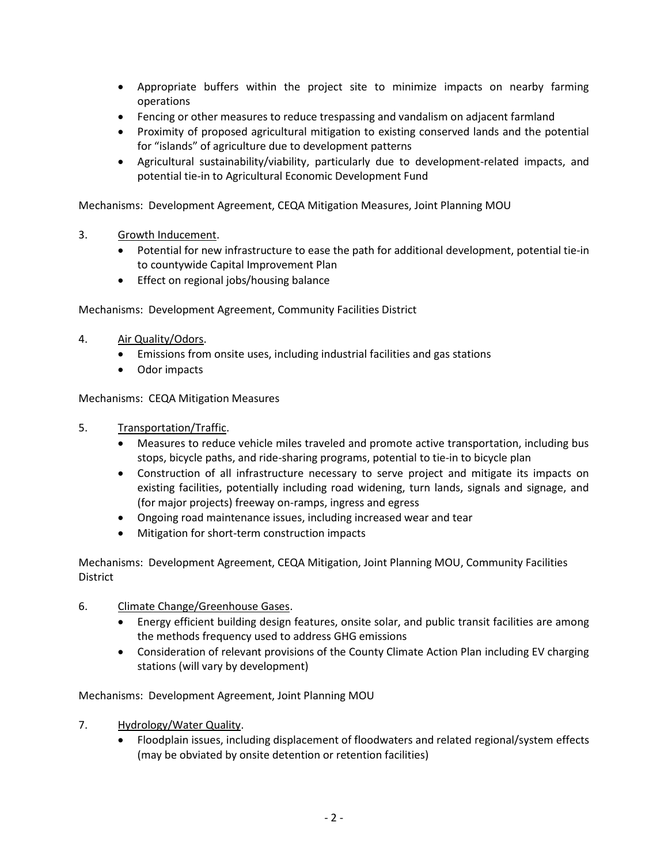- Appropriate buffers within the project site to minimize impacts on nearby farming operations
- Fencing or other measures to reduce trespassing and vandalism on adjacent farmland
- Proximity of proposed agricultural mitigation to existing conserved lands and the potential for "islands" of agriculture due to development patterns
- Agricultural sustainability/viability, particularly due to development-related impacts, and potential tie-in to Agricultural Economic Development Fund

Mechanisms: Development Agreement, CEQA Mitigation Measures, Joint Planning MOU

- 3. Growth Inducement.
	- Potential for new infrastructure to ease the path for additional development, potential tie-in to countywide Capital Improvement Plan
	- **•** Effect on regional jobs/housing balance

Mechanisms: Development Agreement, Community Facilities District

- 4. Air Quality/Odors.
	- Emissions from onsite uses, including industrial facilities and gas stations
	- Odor impacts

Mechanisms: CEQA Mitigation Measures

- 5. Transportation/Traffic.
	- Measures to reduce vehicle miles traveled and promote active transportation, including bus stops, bicycle paths, and ride-sharing programs, potential to tie-in to bicycle plan
	- Construction of all infrastructure necessary to serve project and mitigate its impacts on existing facilities, potentially including road widening, turn lands, signals and signage, and (for major projects) freeway on-ramps, ingress and egress
	- Ongoing road maintenance issues, including increased wear and tear
	- Mitigation for short-term construction impacts

Mechanisms: Development Agreement, CEQA Mitigation, Joint Planning MOU, Community Facilities District

- 6. Climate Change/Greenhouse Gases.
	- Energy efficient building design features, onsite solar, and public transit facilities are among the methods frequency used to address GHG emissions
	- Consideration of relevant provisions of the County Climate Action Plan including EV charging stations (will vary by development)

Mechanisms: Development Agreement, Joint Planning MOU

- 7. Hydrology/Water Quality.
	- Floodplain issues, including displacement of floodwaters and related regional/system effects (may be obviated by onsite detention or retention facilities)